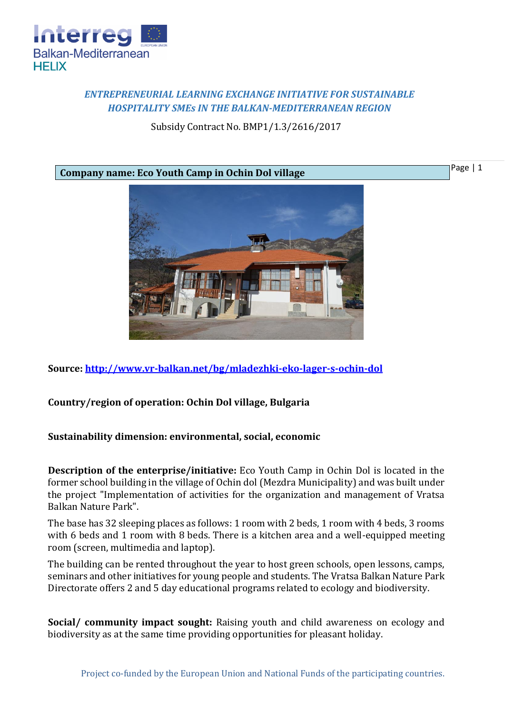

## *ENTREPRENEURIAL LEARNING EXCHANGE INITIATIVE FOR SUSTAINABLE HOSPITALITY SMEs IN THE BALKAN-MEDITERRANEAN REGION*

Subsidy Contract No. BMP1/1.3/2616/2017

Page | 1

**Company name: Eco Youth Camp in Ochin Dol village**



**Source:<http://www.vr-balkan.net/bg/mladezhki-eko-lager-s-ochin-dol>**

**Country/region of operation: Ochin Dol village, Bulgaria**

## **Sustainability dimension: environmental, social, economic**

**Description of the enterprise/initiative:** Eco Youth Camp in Ochin Dol is located in the former school building in the village of Ochin dol (Mezdra Municipality) and was built under the project "Implementation of activities for the organization and management of Vratsa Balkan Nature Park".

The base has 32 sleeping places as follows: 1 room with 2 beds, 1 room with 4 beds, 3 rooms with 6 beds and 1 room with 8 beds. There is a kitchen area and a well-equipped meeting room (screen, multimedia and laptop).

The building can be rented throughout the year to host green schools, open lessons, camps, seminars and other initiatives for young people and students. The Vratsa Balkan Nature Park Directorate offers 2 and 5 day educational programs related to ecology and biodiversity.

**Social/ community impact sought:** Raising youth and child awareness on ecology and biodiversity as at the same time providing opportunities for pleasant holiday.